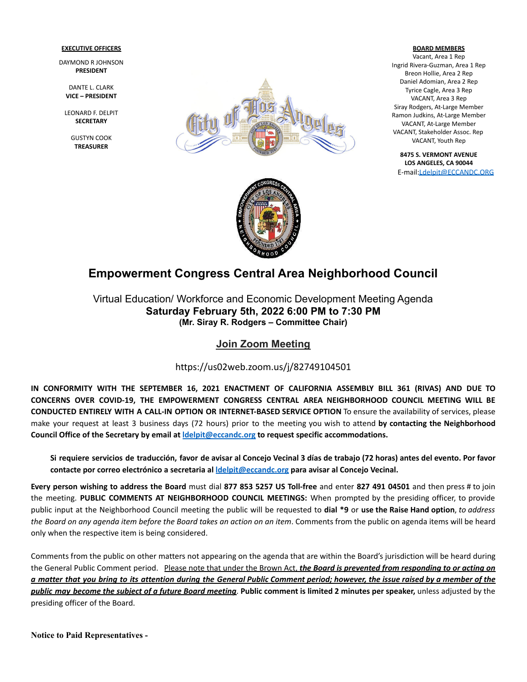### **EXECUTIVE OFFICERS**

DAYMOND R JOHNSON **PRESIDENT**

DANTE L. CLARK **VICE – PRESIDENT**

LEONARD F. DELPIT **SECRETARY**

> GUSTYN COOK **TREASURER**



#### **BOARD MEMBERS**

Vacant, Area 1 Rep Ingrid Rivera-Guzman, Area 1 Rep Breon Hollie, Area 2 Rep Daniel Adomian, Area 2 Rep Tyrice Cagle, Area 3 Rep VACANT, Area 3 Rep Siray Rodgers, At-Large Member Ramon Judkins, At-Large Member VACANT, At-Large Member VACANT, Stakeholder Assoc. Rep VACANT, Youth Rep

**8475 S. VERMONT AVENUE LOS ANGELES, CA 90044** E-mail[:Ldelpit@ECCANDC.ORG](mailto:Ldelpit@ECCANDC.ORG)



# **Empowerment Congress Central Area Neighborhood Council**

Virtual Education/ Workforce and Economic Development Meeting Agenda **Saturday February 5th, 2022 6:00 PM to 7:30 PM (Mr. Siray R. Rodgers – Committee Chair)**

## **Join Zoom Meeting**

https://us02web.zoom.us/j/82749104501

**IN CONFORMITY WITH THE SEPTEMBER 16, 2021 ENACTMENT OF CALIFORNIA ASSEMBLY BILL 361 (RIVAS) AND DUE TO CONCERNS OVER COVID-19, THE EMPOWERMENT CONGRESS CENTRAL AREA NEIGHBORHOOD COUNCIL MEETING WILL BE CONDUCTED ENTIRELY WITH A CALL-IN OPTION OR INTERNET-BASED SERVICE OPTION** To ensure the availability of services, please make your request at least 3 business days (72 hours) prior to the meeting you wish to attend **by contacting the Neighborhood Council Office of the Secretary by email at [ldelpit@eccandc.org](mailto:ldelpit@eccandc.org) to request specific accommodations.**

Si requiere servicios de traducción, favor de avisar al Concejo Vecinal 3 días de trabajo (72 horas) antes del evento. Por favor **contacte por correo electrónico a secretaria al [ldelpit@eccandc.org](mailto:ldelpit@eccandc.org) para avisar al Concejo Vecinal.**

Every person wishing to address the Board must dial 877 853 5257 US Toll-free and enter 827 491 04501 and then press # to join the meeting. **PUBLIC COMMENTS AT NEIGHBORHOOD COUNCIL MEETINGS:** When prompted by the presiding officer, to provide public input at the Neighborhood Council meeting the public will be requested to **dial \*9** or **use the Raise Hand option**, *to address* the Board on any agenda item before the Board takes an action on an item. Comments from the public on agenda items will be heard only when the respective item is being considered.

Comments from the public on other matters not appearing on the agenda that are within the Board's jurisdiction will be heard during the General Public Comment period. Please note that under the Brown Act, *the Board is prevented from responding to or acting on* a matter that you bring to its attention during the General Public Comment period; however, the issue raised by a member of the public may become the subject of a future Board meeting. Public comment is limited 2 minutes per speaker, unless adjusted by the presiding officer of the Board.

**Notice to Paid Representatives -**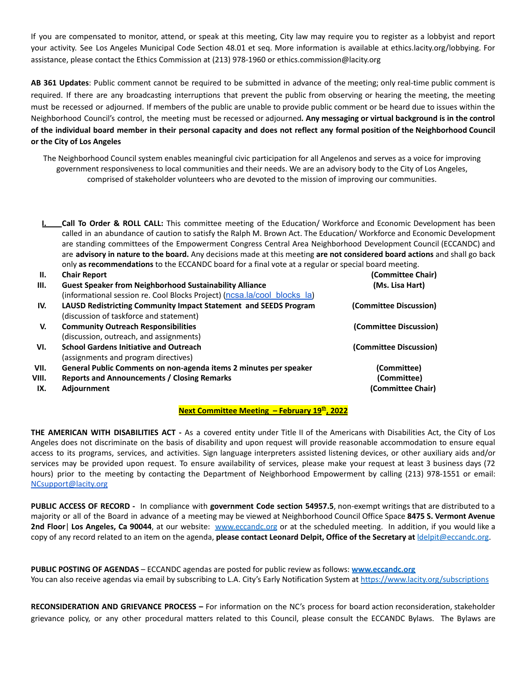If you are compensated to monitor, attend, or speak at this meeting, City law may require you to register as a lobbyist and report your activity. See Los Angeles Municipal Code Section 48.01 et seq. More information is available at ethics.lacity.org/lobbying. For assistance, please contact the Ethics Commission at (213) 978-1960 or ethics.commission@lacity.org

**AB 361 Updates**: Public comment cannot be required to be submitted in advance of the meeting; only real-time public comment is required. If there are any broadcasting interruptions that prevent the public from observing or hearing the meeting, the meeting must be recessed or adjourned. If members of the public are unable to provide public comment or be heard due to issues within the Neighborhood Council's control, the meeting must be recessed or adjourned*.* **Any messaging or virtual background is in the control** of the individual board member in their personal capacity and does not reflect any formal position of the Neighborhood Council **or the City of Los Angeles**

The Neighborhood Council system enables meaningful civic participation for all Angelenos and serves as a voice for improving government responsiveness to local communities and their needs. We are an advisory body to the City of Los Angeles, comprised of stakeholder volunteers who are devoted to the mission of improving our communities.

**I. Call To Order & ROLL CALL:** This committee meeting of the Education/ Workforce and Economic Development has been called in an abundance of caution to satisfy the Ralph M. Brown Act. The Education/ Workforce and Economic Development are standing committees of the Empowerment Congress Central Area Neighborhood Development Council (ECCANDC) and are **advisory in nature to the board.** Any decisions made at this meeting **are not considered board actions** and shall go back only **as recommendations** to the ECCANDC board for a final vote at a regular or special board meeting.

| Н.    | <b>Chair Report</b>                                                      | (Committee Chair)      |
|-------|--------------------------------------------------------------------------|------------------------|
| Ш.    | <b>Guest Speaker from Neighborhood Sustainability Alliance</b>           | (Ms. Lisa Hart)        |
|       | (informational session re. Cool Blocks Project) (ncsa.la/cool blocks la) |                        |
| IV.   | <b>LAUSD Redistricting Community Impact Statement and SEEDS Program</b>  | (Committee Discussion) |
|       | (discussion of taskforce and statement)                                  |                        |
| V.    | <b>Community Outreach Responsibilities</b>                               | (Committee Discussion) |
|       | (discussion, outreach, and assignments)                                  |                        |
| VI.   | <b>School Gardens Initiative and Outreach</b>                            | (Committee Discussion) |
|       | (assignments and program directives)                                     |                        |
| VII.  | General Public Comments on non-agenda items 2 minutes per speaker        | (Committee)            |
| VIII. | <b>Reports and Announcements / Closing Remarks</b>                       | (Committee)            |
| IX.   | <b>Adjournment</b>                                                       | (Committee Chair)      |

### **Next Committee Meeting – February 19 th , 2022**

**THE AMERICAN WITH DISABILITIES ACT -** As a covered entity under Title II of the Americans with Disabilities Act, the City of Los Angeles does not discriminate on the basis of disability and upon request will provide reasonable accommodation to ensure equal access to its programs, services, and activities. Sign language interpreters assisted listening devices, or other auxiliary aids and/or services may be provided upon request. To ensure availability of services, please make your request at least 3 business days (72 hours) prior to the meeting by contacting the Department of Neighborhood Empowerment by calling (213) 978-1551 or email: [NCsupport@lacity.org](mailto:NCsupport@lacity.org)

**PUBLIC ACCESS OF RECORD -** In compliance with **government Code section 54957.5**, non-exempt writings that are distributed to a majority or all of the Board in advance of a meeting may be viewed at Neighborhood Council Office Space **8475 S. Vermont Avenue 2nd Floor**| **Los Angeles, Ca 90044**, at our website: [www.eccandc.org](http://www.eccandc.org/) or at the scheduled meeting. In addition, if you would like a copy of any record related to an item on the agenda, **please contact Leonard Delpit, Office of the Secretary at** [ldelpit@eccandc.org](mailto:ldelpit@eccandc.org).

**PUBLIC POSTING OF AGENDAS** – ECCANDC agendas are posted for public review as follows: **[www.eccandc.org](http://www.eccandc.org/)** You can also receive agendas via email by subscribing to L.A. City's Early Notification System at <https://www.lacity.org/subscriptions>

**RECONSIDERATION AND GRIEVANCE PROCESS –** For information on the NC's process for board action reconsideration, stakeholder grievance policy, or any other procedural matters related to this Council, please consult the ECCANDC Bylaws. The Bylaws are